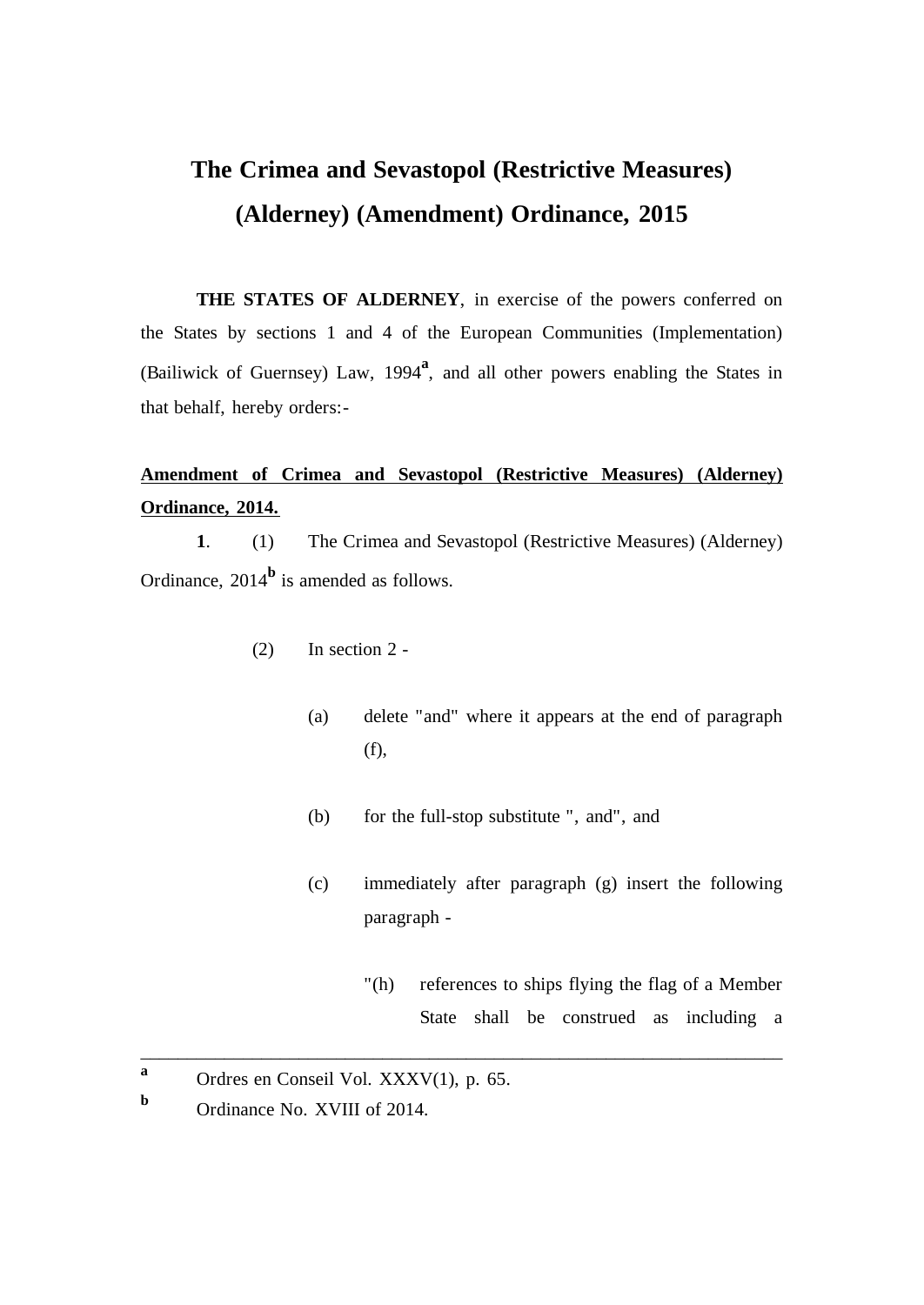## **The Crimea and Sevastopol (Restrictive Measures) (Alderney) (Amendment) Ordinance, 2015**

**THE STATES OF ALDERNEY**, in exercise of the powers conferred on the States by sections 1 and 4 of the European Communities (Implementation) (Bailiwick of Guernsey) Law, 1994**<sup>a</sup>** , and all other powers enabling the States in that behalf, hereby orders:-

## **Amendment of Crimea and Sevastopol (Restrictive Measures) (Alderney) Ordinance, 2014.**

**1**. (1) The Crimea and Sevastopol (Restrictive Measures) (Alderney) Ordinance, 2014**<sup>b</sup>** is amended as follows.

- (2) In section 2
	- (a) delete "and" where it appears at the end of paragraph (f),
	- (b) for the full-stop substitute ", and", and

\_\_\_\_\_\_\_\_\_\_\_\_\_\_\_\_\_\_\_\_\_\_\_\_\_\_\_\_\_\_\_\_\_\_\_\_\_\_\_\_\_\_\_\_\_\_\_\_\_\_\_\_\_\_\_\_\_\_\_\_\_\_\_\_\_\_\_\_\_

- (c) immediately after paragraph (g) insert the following paragraph -
	- "(h) references to ships flying the flag of a Member State shall be construed as including a

**a** Ordres en Conseil Vol. XXXV(1), p. 65.

**b** Ordinance No. XVIII of 2014.